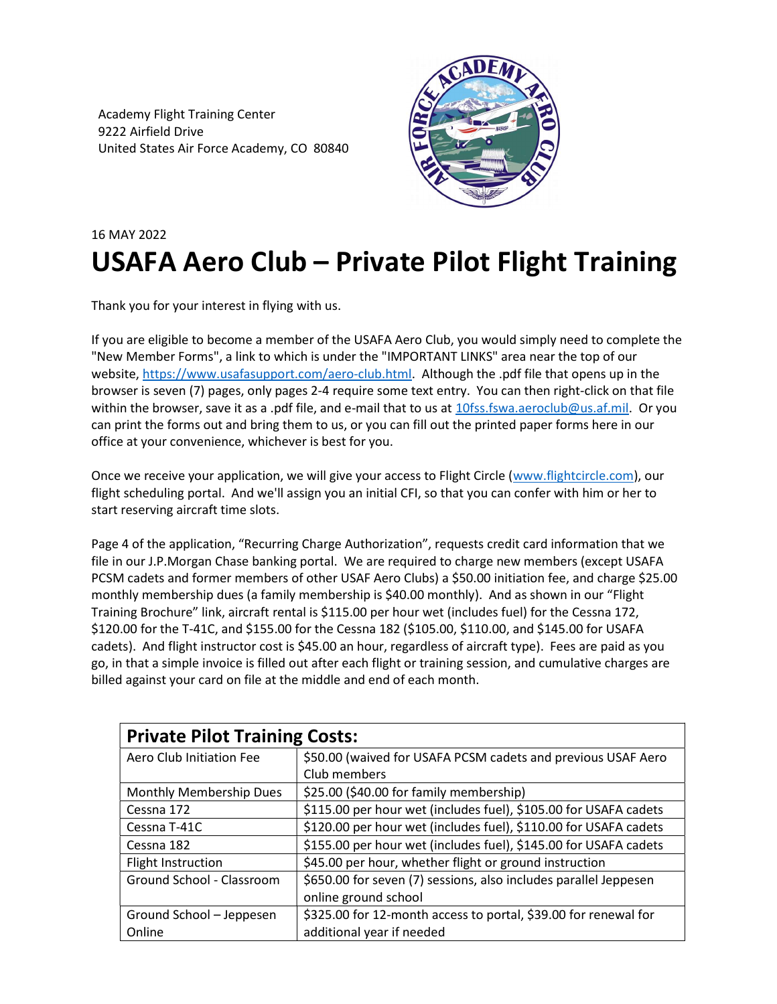Academy Flight Training Center 9222 Airfield Drive United States Air Force Academy, CO 80840



## 16 MAY 2022 USAFA Aero Club – Private Pilot Flight Training

Thank you for your interest in flying with us.

If you are eligible to become a member of the USAFA Aero Club, you would simply need to complete the "New Member Forms", a link to which is under the "IMPORTANT LINKS" area near the top of our website, https://www.usafasupport.com/aero-club.html. Although the .pdf file that opens up in the browser is seven (7) pages, only pages 2-4 require some text entry. You can then right-click on that file within the browser, save it as a .pdf file, and e-mail that to us at 10fss.fswa.aeroclub@us.af.mil. Or you can print the forms out and bring them to us, or you can fill out the printed paper forms here in our office at your convenience, whichever is best for you.

Once we receive your application, we will give your access to Flight Circle (www.flightcircle.com), our flight scheduling portal. And we'll assign you an initial CFI, so that you can confer with him or her to start reserving aircraft time slots.

Page 4 of the application, "Recurring Charge Authorization", requests credit card information that we file in our J.P.Morgan Chase banking portal. We are required to charge new members (except USAFA PCSM cadets and former members of other USAF Aero Clubs) a \$50.00 initiation fee, and charge \$25.00 monthly membership dues (a family membership is \$40.00 monthly). And as shown in our "Flight Training Brochure" link, aircraft rental is \$115.00 per hour wet (includes fuel) for the Cessna 172, \$120.00 for the T-41C, and \$155.00 for the Cessna 182 (\$105.00, \$110.00, and \$145.00 for USAFA cadets). And flight instructor cost is \$45.00 an hour, regardless of aircraft type). Fees are paid as you go, in that a simple invoice is filled out after each flight or training session, and cumulative charges are billed against your card on file at the middle and end of each month.

| <b>Private Pilot Training Costs:</b> |                                                                  |
|--------------------------------------|------------------------------------------------------------------|
| Aero Club Initiation Fee             | \$50.00 (waived for USAFA PCSM cadets and previous USAF Aero     |
|                                      | Club members                                                     |
| Monthly Membership Dues              | \$25.00 (\$40.00 for family membership)                          |
| Cessna 172                           | \$115.00 per hour wet (includes fuel), \$105.00 for USAFA cadets |
| Cessna T-41C                         | \$120.00 per hour wet (includes fuel), \$110.00 for USAFA cadets |
| Cessna 182                           | \$155.00 per hour wet (includes fuel), \$145.00 for USAFA cadets |
| Flight Instruction                   | \$45.00 per hour, whether flight or ground instruction           |
| Ground School - Classroom            | \$650.00 for seven (7) sessions, also includes parallel Jeppesen |
|                                      | online ground school                                             |
| Ground School - Jeppesen             | \$325.00 for 12-month access to portal, \$39.00 for renewal for  |
| Online                               | additional year if needed                                        |